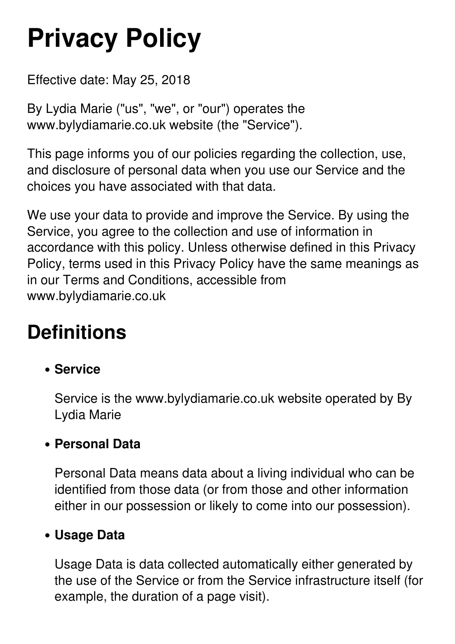# **Privacy Policy**

Effective date: May 25, 2018

By Lydia Marie ("us", "we", or "our") operates the www.bylydiamarie.co.uk website (the "Service").

This page informs you of our policies regarding the collection, use, and disclosure of personal data when you use our Service and the choices you have associated with that data.

We use your data to provide and improve the Service. By using the Service, you agree to the collection and use of information in accordance with this policy. Unless otherwise defined in this Privacy Policy, terms used in this Privacy Policy have the same meanings as in our Terms and Conditions, accessible from www.bylydiamarie.co.uk

# **Definitions**

#### **Service**

Service is the www.bylydiamarie.co.uk website operated by By Lydia Marie

#### **Personal Data**

Personal Data means data about a living individual who can be identified from those data (or from those and other information either in our possession or likely to come into our possession).

#### **Usage Data**

Usage Data is data collected automatically either generated by the use of the Service or from the Service infrastructure itself (for example, the duration of a page visit).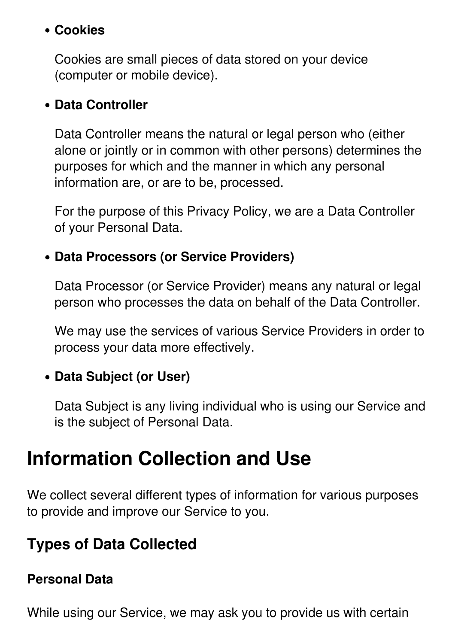#### **Cookies**

Cookies are small pieces of data stored on your device (computer or mobile device).

#### **Data Controller**

Data Controller means the natural or legal person who (either alone or jointly or in common with other persons) determines the purposes for which and the manner in which any personal information are, or are to be, processed.

For the purpose of this Privacy Policy, we are a Data Controller of your Personal Data.

#### **Data Processors (or Service Providers)**

Data Processor (or Service Provider) means any natural or legal person who processes the data on behalf of the Data Controller.

We may use the services of various Service Providers in order to process your data more effectively.

#### **Data Subject (or User)**

Data Subject is any living individual who is using our Service and is the subject of Personal Data.

### **Information Collection and Use**

We collect several different types of information for various purposes to provide and improve our Service to you.

#### **Types of Data Collected**

#### **Personal Data**

While using our Service, we may ask you to provide us with certain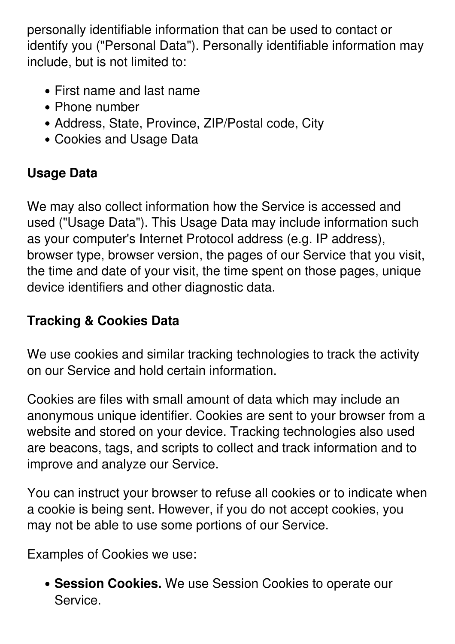personally identifiable information that can be used to contact or identify you ("Personal Data"). Personally identifiable information may include, but is not limited to:

- First name and last name
- Phone number
- Address, State, Province, ZIP/Postal code, City
- Cookies and Usage Data

#### **Usage Data**

We may also collect information how the Service is accessed and used ("Usage Data"). This Usage Data may include information such as your computer's Internet Protocol address (e.g. IP address), browser type, browser version, the pages of our Service that you visit, the time and date of your visit, the time spent on those pages, unique device identifiers and other diagnostic data.

#### **Tracking & Cookies Data**

We use cookies and similar tracking technologies to track the activity on our Service and hold certain information.

Cookies are files with small amount of data which may include an anonymous unique identifier. Cookies are sent to your browser from a website and stored on your device. Tracking technologies also used are beacons, tags, and scripts to collect and track information and to improve and analyze our Service.

You can instruct your browser to refuse all cookies or to indicate when a cookie is being sent. However, if you do not accept cookies, you may not be able to use some portions of our Service.

Examples of Cookies we use:

**Session Cookies.** We use Session Cookies to operate our Service.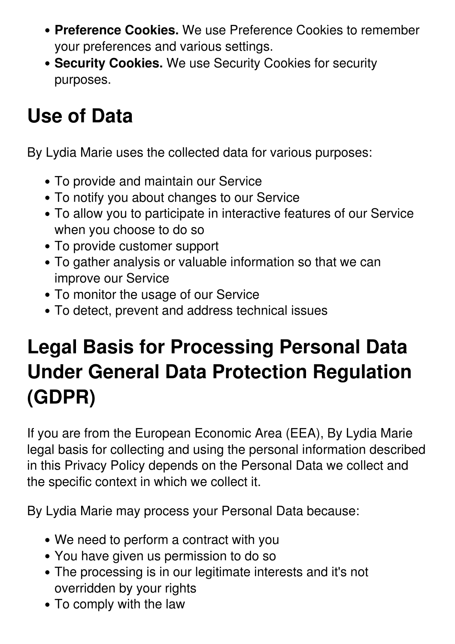- **Preference Cookies.** We use Preference Cookies to remember your preferences and various settings.
- **Security Cookies.** We use Security Cookies for security purposes.

# **Use of Data**

By Lydia Marie uses the collected data for various purposes:

- To provide and maintain our Service
- To notify you about changes to our Service
- To allow you to participate in interactive features of our Service when you choose to do so
- To provide customer support
- To gather analysis or valuable information so that we can improve our Service
- To monitor the usage of our Service
- To detect, prevent and address technical issues

# **Legal Basis for Processing Personal Data Under General Data Protection Regulation (GDPR)**

If you are from the European Economic Area (EEA), By Lydia Marie legal basis for collecting and using the personal information described in this Privacy Policy depends on the Personal Data we collect and the specific context in which we collect it.

By Lydia Marie may process your Personal Data because:

- We need to perform a contract with you
- You have given us permission to do so
- The processing is in our legitimate interests and it's not overridden by your rights
- To comply with the law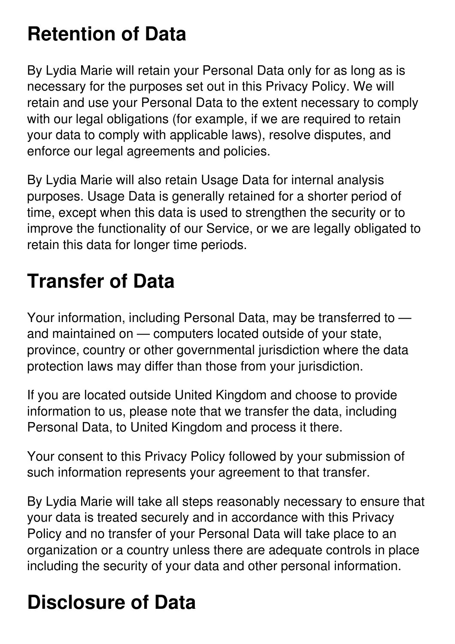# **Retention of Data**

By Lydia Marie will retain your Personal Data only for as long as is necessary for the purposes set out in this Privacy Policy. We will retain and use your Personal Data to the extent necessary to comply with our legal obligations (for example, if we are required to retain your data to comply with applicable laws), resolve disputes, and enforce our legal agreements and policies.

By Lydia Marie will also retain Usage Data for internal analysis purposes. Usage Data is generally retained for a shorter period of time, except when this data is used to strengthen the security or to improve the functionality of our Service, or we are legally obligated to retain this data for longer time periods.

### **Transfer of Data**

Your information, including Personal Data, may be transferred to and maintained on — computers located outside of your state, province, country or other governmental jurisdiction where the data protection laws may differ than those from your jurisdiction.

If you are located outside United Kingdom and choose to provide information to us, please note that we transfer the data, including Personal Data, to United Kingdom and process it there.

Your consent to this Privacy Policy followed by your submission of such information represents your agreement to that transfer.

By Lydia Marie will take all steps reasonably necessary to ensure that your data is treated securely and in accordance with this Privacy Policy and no transfer of your Personal Data will take place to an organization or a country unless there are adequate controls in place including the security of your data and other personal information.

# **Disclosure of Data**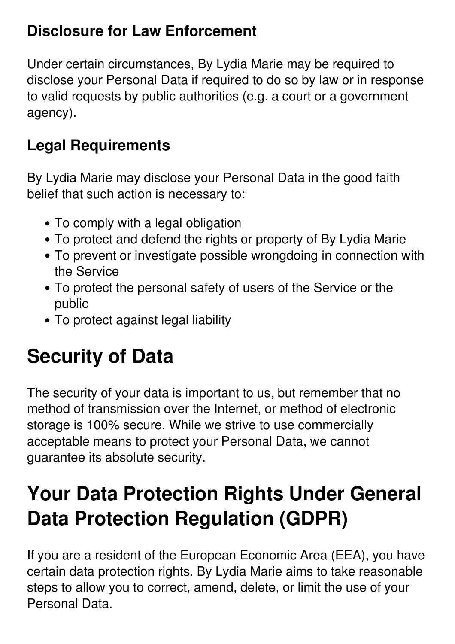#### **Disclosure for Law Enforcement**

Under certain circumstances, By Lydia Marie may be required to disclose your Personal Data if required to do so by law or in response to valid requests by public authorities (e.g. a court or a government agency).

### **Legal Requirements**

By Lydia Marie may disclose your Personal Data in the good faith belief that such action is necessary to:

- To comply with a legal obligation
- To protect and defend the rights or property of By Lydia Marie
- To prevent or investigate possible wrongdoing in connection with the Service
- To protect the personal safety of users of the Service or the public
- To protect against legal liability

# **Security of Data**

The security of your data is important to us, but remember that no method of transmission over the Internet, or method of electronic storage is 100% secure. While we strive to use commercially acceptable means to protect your Personal Data, we cannot guarantee its absolute security.

# **Your Data Protection Rights Under General Data Protection Regulation (GDPR)**

If you are a resident of the European Economic Area (EEA), you have certain data protection rights. By Lydia Marie aims to take reasonable steps to allow you to correct, amend, delete, or limit the use of your Personal Data.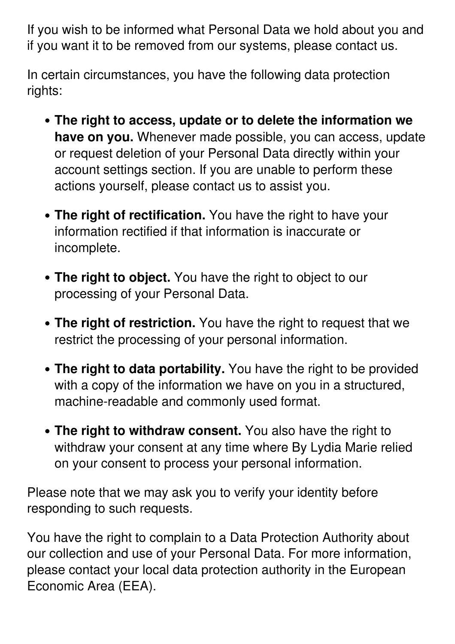If you wish to be informed what Personal Data we hold about you and if you want it to be removed from our systems, please contact us.

In certain circumstances, you have the following data protection rights:

- **The right to access, update or to delete the information we have on you.** Whenever made possible, you can access, update or request deletion of your Personal Data directly within your account settings section. If you are unable to perform these actions yourself, please contact us to assist you.
- **The right of rectification.** You have the right to have your information rectified if that information is inaccurate or incomplete.
- **The right to object.** You have the right to object to our processing of your Personal Data.
- **The right of restriction.** You have the right to request that we restrict the processing of your personal information.
- **The right to data portability.** You have the right to be provided with a copy of the information we have on you in a structured, machine-readable and commonly used format.
- **The right to withdraw consent.** You also have the right to withdraw your consent at any time where By Lydia Marie relied on your consent to process your personal information.

Please note that we may ask you to verify your identity before responding to such requests.

You have the right to complain to a Data Protection Authority about our collection and use of your Personal Data. For more information, please contact your local data protection authority in the European Economic Area (EEA).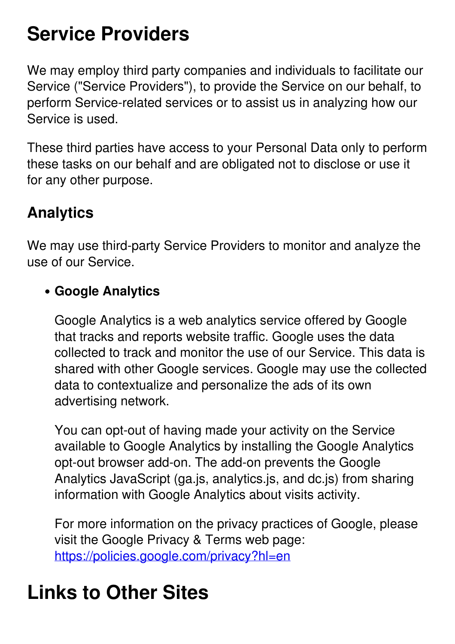### **Service Providers**

We may employ third party companies and individuals to facilitate our Service ("Service Providers"), to provide the Service on our behalf, to perform Service-related services or to assist us in analyzing how our Service is used.

These third parties have access to your Personal Data only to perform these tasks on our behalf and are obligated not to disclose or use it for any other purpose.

#### **Analytics**

We may use third-party Service Providers to monitor and analyze the use of our Service.

#### **Google Analytics**

Google Analytics is a web analytics service offered by Google that tracks and reports website traffic. Google uses the data collected to track and monitor the use of our Service. This data is shared with other Google services. Google may use the collected data to contextualize and personalize the ads of its own advertising network.

You can opt-out of having made your activity on the Service available to Google Analytics by installing the Google Analytics opt-out browser add-on. The add-on prevents the Google Analytics JavaScript (ga.js, analytics.js, and dc.js) from sharing information with Google Analytics about visits activity.

For more information on the privacy practices of Google, please visit the Google Privacy & Terms web page: <https://policies.google.com/privacy?hl=en>

### **Links to Other Sites**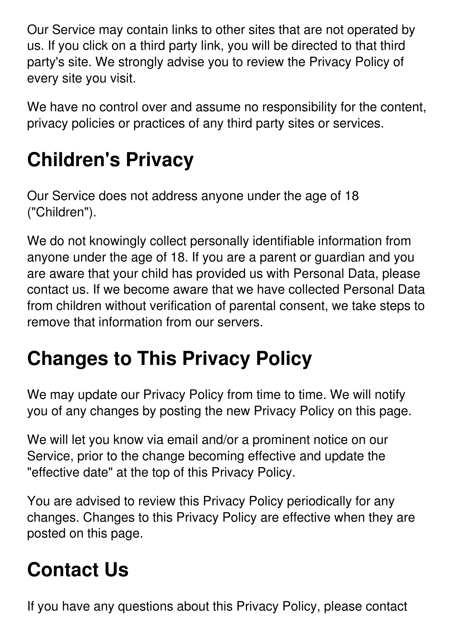Our Service may contain links to other sites that are not operated by us. If you click on a third party link, you will be directed to that third party's site. We strongly advise you to review the Privacy Policy of every site you visit.

We have no control over and assume no responsibility for the content, privacy policies or practices of any third party sites or services.

# **Children's Privacy**

Our Service does not address anyone under the age of 18 ("Children").

We do not knowingly collect personally identifiable information from anyone under the age of 18. If you are a parent or guardian and you are aware that your child has provided us with Personal Data, please contact us. If we become aware that we have collected Personal Data from children without verification of parental consent, we take steps to remove that information from our servers.

# **Changes to This Privacy Policy**

We may update our Privacy Policy from time to time. We will notify you of any changes by posting the new Privacy Policy on this page.

We will let you know via email and/or a prominent notice on our Service, prior to the change becoming effective and update the "effective date" at the top of this Privacy Policy.

You are advised to review this Privacy Policy periodically for any changes. Changes to this Privacy Policy are effective when they are posted on this page.

### **Contact Us**

If you have any questions about this Privacy Policy, please contact